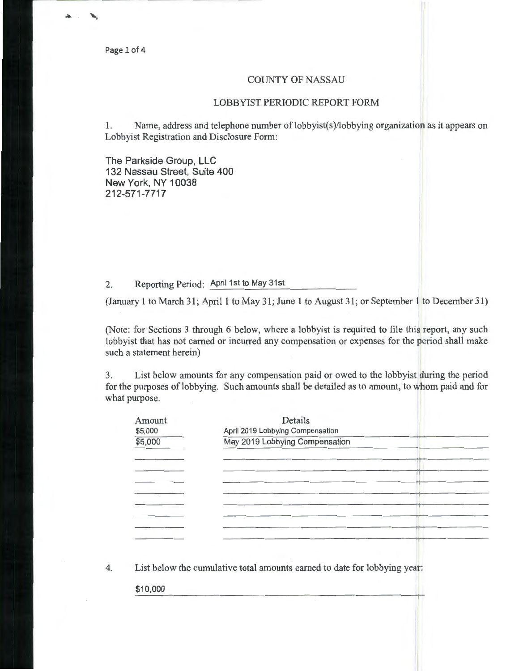Page 1 of 4

## COUNTY OF NASSAU

## LOBBYIST PERIODIC REPORT FORM

1. Name, address and telephone number of lobbyist(s )/lobbying organization as it appears on Lobbyist Registration and Disclosure Form:

The Parkside Group, LLC 132 Nassau Street, Suite 400 New York, NY 10038 212-571-7717

## 2. Reporting Period: April 1st to May 31st

(January 1 to March 31; April 1 to May 31; June 1 to August 31; or September 1 to December 31)

(Note: for Sections 3 through 6 below, where a lobbyist is required to file this report, any such lobbyist that has not earned or incurred any compensation or expenses for the period shall make such a statement herein)

3. List below amounts for any compensation paid or owed to the lobbyist during the period for the purposes of lobbying. Such amounts shall be detailed as to amount, to whom paid and for what purpose.

| \$5,000 | April 2019 Lobbying Compensation |  |
|---------|----------------------------------|--|
| \$5,000 | May 2019 Lobbying Compensation   |  |
|         |                                  |  |
|         |                                  |  |
|         |                                  |  |
|         |                                  |  |
|         |                                  |  |
|         |                                  |  |
|         |                                  |  |
|         |                                  |  |
|         |                                  |  |

4. List below the cumulative total amounts earned to date for lobbying year:

\$10,000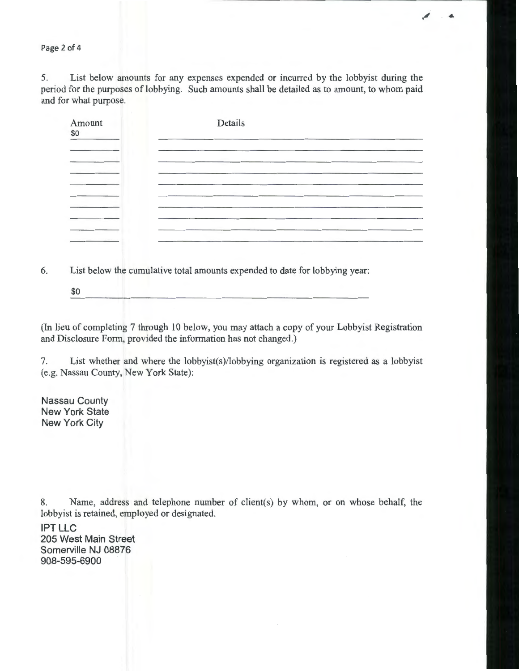Page 2 of 4

5. List below amounts for any expenses expended or incurred by the lobbyist during the period for the purposes of lobbying. Such amounts shall be detailed as to amount, to whom paid and for what purpose.

| Amount<br>\$0 | Details                                                                                                         |
|---------------|-----------------------------------------------------------------------------------------------------------------|
|               |                                                                                                                 |
|               | the contract of the contract of the contract of the contract of the contract of the contract of the contract of |
|               |                                                                                                                 |
|               |                                                                                                                 |
|               |                                                                                                                 |

6. List below the cumulative total amounts expended to date for lobbying year:

\$0

(In lieu of completing 7 through 10 below, you may attach a copy of your Lobbyist Registration and Disclosure Form, provided the information has not changed.)

7. List whether and where the lobbyist(s)/lobbying organization is registered as a lobbyist (e.g. Nassau County, New York State):

Nassau County New York State New York City

8. Name, address and telephone number of client(s) by whom, or on whose behalf, the lobbyist is retained, employed or designated.

IPT LLC 205 West Main Street Somerville NJ 08876 908-595-6900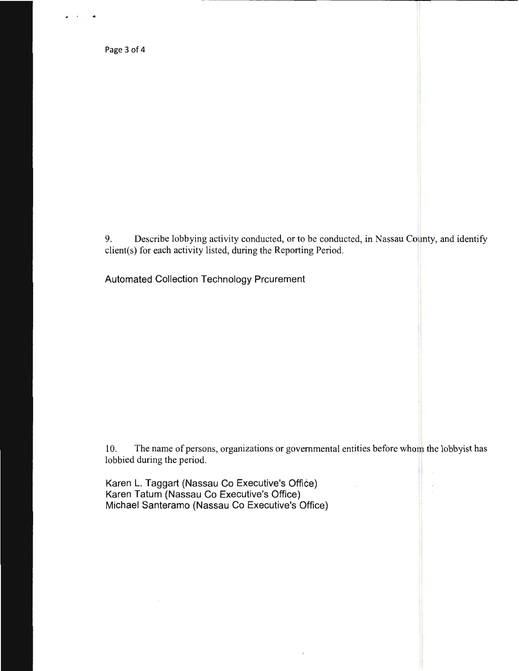Page 3 of 4

A • • *4,* 

9. Describe lobbying activity conducted, or to be conducted, in Nassau County, and identify client(s) for each activity listed, during the Reporting Period.

Automated Collection Technology Prcurement

10. The name of persons, organizations or governmental entities before whom the lobbyist has lobbied during the period.

Karen L. Taggart (Nassau Co Executive's Office) Karen Tatum (Nassau Co Executive's Office) · Michael Santeramo (Nassau Co Executive's Office)